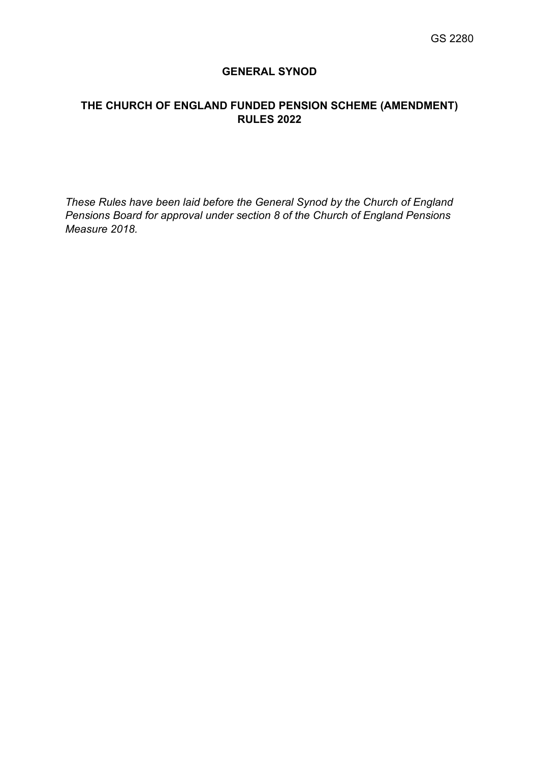## **GENERAL SYNOD**

# **THE CHURCH OF ENGLAND FUNDED PENSION SCHEME (AMENDMENT) RULES 2022**

*These Rules have been laid before the General Synod by the Church of England Pensions Board for approval under section 8 of the Church of England Pensions Measure 2018.*